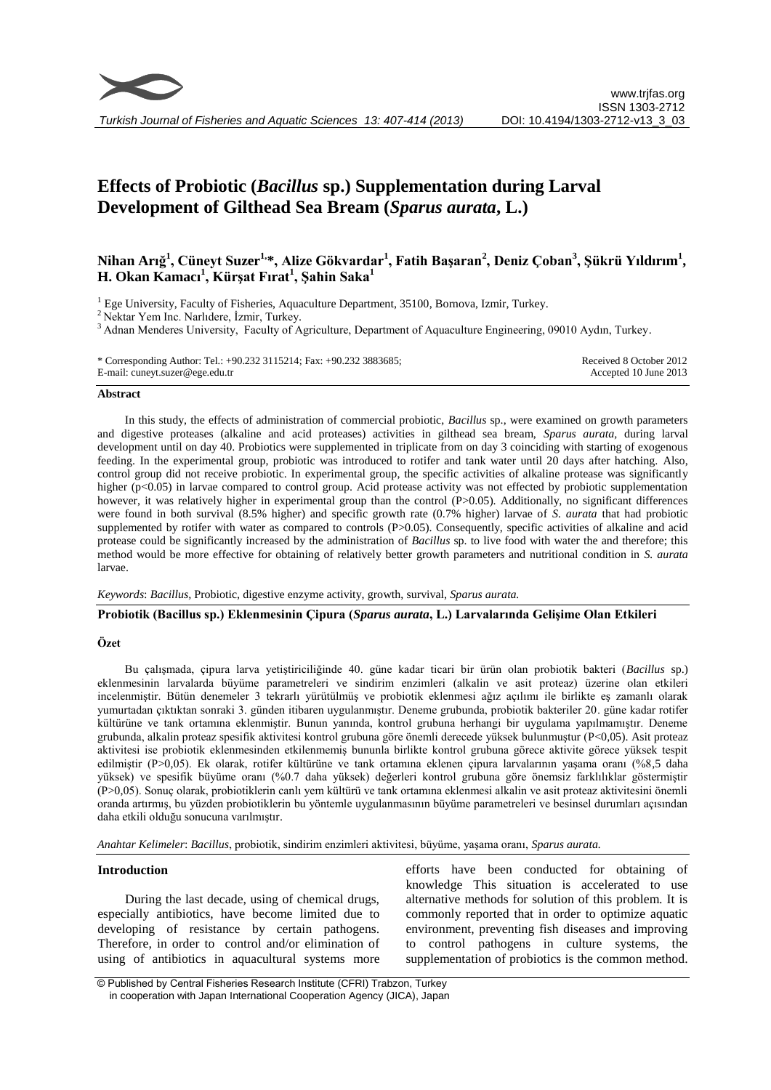

# **Effects of Probiotic (***Bacillus* **sp.) Supplementation during Larval Development of Gilthead Sea Bream (***Sparus aurata***, L.)**

# **Nihan Arığ 1 , Cüneyt Suzer1,\*, Alize Gökvardar<sup>1</sup> , Fatih Başaran<sup>2</sup> , Deniz Çoban<sup>3</sup> , Şükrü Yıldırım 1 ,**   $\mathbf{H.}$  Okan Kamacı<sup>1</sup>, Kürşat Fırat<sup>1</sup>, Şahin Saka<sup>1</sup>

 $1$  Ege University, Faculty of Fisheries, Aquaculture Department, 35100, Bornova, Izmir, Turkey.

<sup>2</sup> Nektar Yem Inc. Narlıdere, İzmir, Turkey.

<sup>3</sup> Adnan Menderes University, Faculty of Agriculture, Department of Aquaculture Engineering, 09010 Aydın, Turkey.

| * Corresponding Author: Tel.: $+90.232$ 3115214; Fax: $+90.232$ 3883685; | Received 8 October 2012 |
|--------------------------------------------------------------------------|-------------------------|
| E-mail: cuneyt.suzer@ege.edu.tr                                          | Accepted 10 June 2013   |

#### **Abstract**

In this study, the effects of administration of commercial probiotic, *Bacillus* sp., were examined on growth parameters and digestive proteases (alkaline and acid proteases) activities in gilthead sea bream, *Sparus aurata,* during larval development until on day 40. Probiotics were supplemented in triplicate from on day 3 coinciding with starting of exogenous feeding. In the experimental group, probiotic was introduced to rotifer and tank water until 20 days after hatching. Also, control group did not receive probiotic. In experimental group, the specific activities of alkaline protease was significantly higher (p<0.05) in larvae compared to control group. Acid protease activity was not effected by probiotic supplementation however, it was relatively higher in experimental group than the control (P>0.05). Additionally, no significant differences were found in both survival (8.5% higher) and specific growth rate (0.7% higher) larvae of *S. aurata* that had probiotic supplemented by rotifer with water as compared to controls (P>0.05). Consequently, specific activities of alkaline and acid protease could be significantly increased by the administration of *Bacillus* sp. to live food with water the and therefore; this method would be more effective for obtaining of relatively better growth parameters and nutritional condition in *S. aurata* larvae.

*Keywords*: *Bacillus,* Probiotic, digestive enzyme activity, growth, survival, *Sparus aurata.*

#### **Probiotik (Bacillus sp.) Eklenmesinin Çipura (***Sparus aurata***, L.) Larvalarında Gelişime Olan Etkileri**

#### **Özet**

Bu çalışmada, çipura larva yetiştiriciliğinde 40. güne kadar ticari bir ürün olan probiotik bakteri (*Bacillus* sp.) eklenmesinin larvalarda büyüme parametreleri ve sindirim enzimleri (alkalin ve asit proteaz) üzerine olan etkileri incelenmiştir. Bütün denemeler 3 tekrarlı yürütülmüş ve probiotik eklenmesi ağız açılımı ile birlikte eş zamanlı olarak yumurtadan çıktıktan sonraki 3. günden itibaren uygulanmıştır. Deneme grubunda, probiotik bakteriler 20. güne kadar rotifer kültürüne ve tank ortamına eklenmiştir. Bunun yanında, kontrol grubuna herhangi bir uygulama yapılmamıştır. Deneme grubunda, alkalin proteaz spesifik aktivitesi kontrol grubuna göre önemli derecede yüksek bulunmuştur (P<0,05). Asit proteaz aktivitesi ise probiotik eklenmesinden etkilenmemiş bununla birlikte kontrol grubuna görece aktivite görece yüksek tespit edilmiştir (P>0,05). Ek olarak, rotifer kültürüne ve tank ortamına eklenen çipura larvalarının yaşama oranı (%8,5 daha yüksek) ve spesifik büyüme oranı (%0.7 daha yüksek) değerleri kontrol grubuna göre önemsiz farklılıklar göstermiştir (P>0,05). Sonuç olarak, probiotiklerin canlı yem kültürü ve tank ortamına eklenmesi alkalin ve asit proteaz aktivitesini önemli oranda artırmış, bu yüzden probiotiklerin bu yöntemle uygulanmasının büyüme parametreleri ve besinsel durumları açısından daha etkili olduğu sonucuna varılmıştır.

*Anahtar Kelimeler*: *Bacillus*, probiotik, sindirim enzimleri aktivitesi, büyüme, yaşama oranı, *Sparus aurata.*

#### **Introduction**

During the last decade, using of chemical drugs, especially antibiotics, have become limited due to developing of resistance by certain pathogens. Therefore, in order to control and/or elimination of using of antibiotics in aquacultural systems more

efforts have been conducted for obtaining of knowledge This situation is accelerated to use alternative methods for solution of this problem. It is commonly reported that in order to optimize aquatic environment, preventing fish diseases and improving to control pathogens in culture systems, the supplementation of probiotics is the common method.

<sup>©</sup> Published by Central Fisheries Research Institute (CFRI) Trabzon, Turkey in cooperation with Japan International Cooperation Agency (JICA), Japan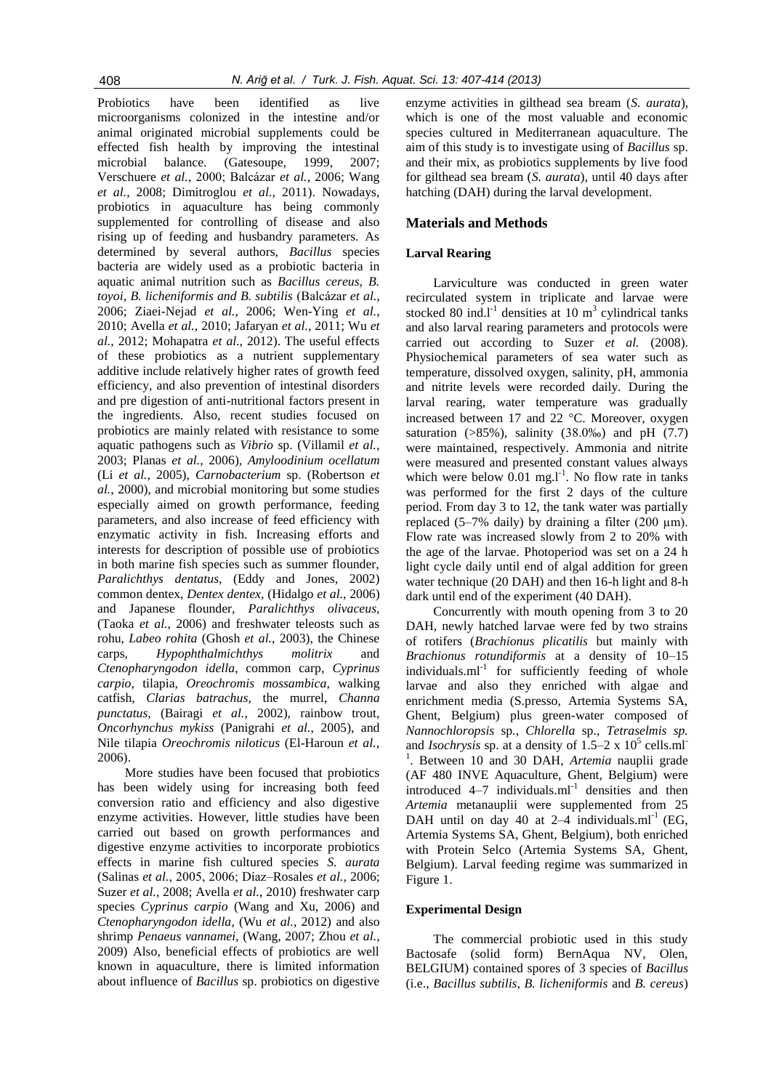Probiotics have been identified as live microorganisms colonized in the intestine and/or animal originated microbial supplements could be effected fish health by improving the intestinal microbial balance. (Gatesoupe, 1999, 2007; Verschuere *et al.*, 2000; Balcázar *et al.*, 2006; Wang *et al.*, 2008; Dimitroglou *et al.*, 2011). Nowadays, probiotics in aquaculture has being commonly supplemented for controlling of disease and also rising up of feeding and husbandry parameters. As determined by several authors, *Bacillus* species bacteria are widely used as a probiotic bacteria in aquatic animal nutrition such as *Bacillus cereus, B. toyoi, B. licheniformis and B. subtilis* (Balcázar *et al.*, 2006; Ziaei-Nejad *et al.*, 2006; Wen-Ying *et al.*, 2010; Avella *et al.*, 2010; Jafaryan *et al.*, 2011; Wu *et al.*, 2012; Mohapatra *et al.*, 2012). The useful effects of these probiotics as a nutrient supplementary additive include relatively higher rates of growth feed efficiency, and also prevention of intestinal disorders and pre digestion of anti-nutritional factors present in the ingredients. Also, recent studies focused on probiotics are mainly related with resistance to some aquatic pathogens such as *Vibrio* sp. (Villamil *et al.*, 2003; Planas *et al.*, 2006), *Amyloodinium ocellatum* (Li *et al.*, 2005), *Carnobacterium* sp. (Robertson *et al.*, 2000), and microbial monitoring but some studies especially aimed on growth performance, feeding parameters, and also increase of feed efficiency with enzymatic activity in fish. Increasing efforts and interests for description of possible use of probiotics in both marine fish species such as summer flounder, *Paralichthys dentatus,* (Eddy and Jones, 2002) common dentex, *Dentex dentex,* (Hidalgo *et al.*, 2006) and Japanese flounder, *Paralichthys olivaceus,*  (Taoka *et al.*, 2006) and freshwater teleosts such as rohu, *Labeo rohita* (Ghosh *et al.*, 2003), the Chinese carps, *Hypophthalmichthys molitrix* and *Ctenopharyngodon idella*, common carp, *Cyprinus carpio*, tilapia, *Oreochromis mossambica*, walking catfish, *Clarias batrachus*, the murrel, *Channa punctatus,* (Bairagi *et al.*, 2002), rainbow trout, *Oncorhynchus mykiss* (Panigrahi *et al.*, 2005), and Nile tilapia *Oreochromis niloticus* (El-Haroun *et al.*, 2006).

More studies have been focused that probiotics has been widely using for increasing both feed conversion ratio and efficiency and also digestive enzyme activities. However, little studies have been carried out based on growth performances and digestive enzyme activities to incorporate probiotics effects in marine fish cultured species *S. aurata* (Salinas *et al.*, 2005, 2006; Díaz–Rosales *et al.*, 2006; Suzer *et al.*, 2008; Avella *et al.*, 2010) freshwater carp species *Cyprinus carpio* (Wang and Xu, 2006) and *Ctenopharyngodon idella*, (Wu *et al.*, 2012) and also shrimp *Penaeus vannamei,* (Wang, 2007; Zhou *et al.*, 2009) Also, beneficial effects of probiotics are well known in aquaculture, there is limited information about influence of *Bacillus* sp. probiotics on digestive

enzyme activities in gilthead sea bream (*S. aurata*), which is one of the most valuable and economic species cultured in Mediterranean aquaculture. The aim of this study is to investigate using of *Bacillus* sp. and their mix, as probiotics supplements by live food for gilthead sea bream (*S. aurata*), until 40 days after hatching (DAH) during the larval development.

# **Materials and Methods**

# **Larval Rearing**

Larviculture was conducted in green water recirculated system in triplicate and larvae were stocked 80 ind. $l<sup>-1</sup>$  densities at 10 m<sup>3</sup> cylindrical tanks and also larval rearing parameters and protocols were carried out according to Suzer et al. (2008). Physiochemical parameters of sea water such as temperature, dissolved oxygen, salinity, pH, ammonia and nitrite levels were recorded daily. During the larval rearing, water temperature was gradually increased between 17 and 22  $^{\circ}$ C. Moreover, oxygen saturation  $(>\!\!85\%)$ , salinity  $(38.0\%)$  and pH  $(7.7)$ were maintained, respectively. Ammonia and nitrite were measured and presented constant values always which were below  $0.01$  mg.l<sup>-1</sup>. No flow rate in tanks was performed for the first 2 days of the culture period. From day 3 to 12, the tank water was partially replaced  $(5-7\%$  daily) by draining a filter  $(200 \mu m)$ . Flow rate was increased slowly from 2 to 20% with the age of the larvae. Photoperiod was set on a 24 h light cycle daily until end of algal addition for green water technique (20 DAH) and then 16-h light and 8-h dark until end of the experiment (40 DAH).

Concurrently with mouth opening from 3 to 20 DAH, newly hatched larvae were fed by two strains of rotifers (*Brachionus plicatilis* but mainly with *Brachionus rotundiformis* at a density of 10–15  $individuals.m<sup>-1</sup>$  for sufficiently feeding of whole larvae and also they enriched with algae and enrichment media (S.presso, Artemia Systems SA, Ghent, Belgium) plus green-water composed of *Nannochloropsis* sp*.*, *Chlorella* sp., *Tetraselmis sp.* and *Isochrysis* sp. at a density of  $1.5-2 \times 10^5$  cells.ml<sup>-</sup> <sup>1</sup>. Between 10 and 30 DAH, *Artemia* nauplii grade (AF 480 INVE Aquaculture, Ghent, Belgium) were  $introduced$   $4-7$  individuals. $ml^{-1}$  densities and then *Artemia* metanauplii were supplemented from 25 DAH until on day 40 at 2–4 individuals. $ml^{-1}$  (EG, Artemia Systems SA, Ghent, Belgium), both enriched with Protein Selco (Artemia Systems SA, Ghent, Belgium). Larval feeding regime was summarized in Figure 1.

#### **Experimental Design**

The commercial probiotic used in this study Bactosafe (solid form) BernAqua NV, Olen, BELGIUM) contained spores of 3 species of *Bacillus* (i.e., *Bacillus subtilis, B. licheniformis* and *B. cereus*)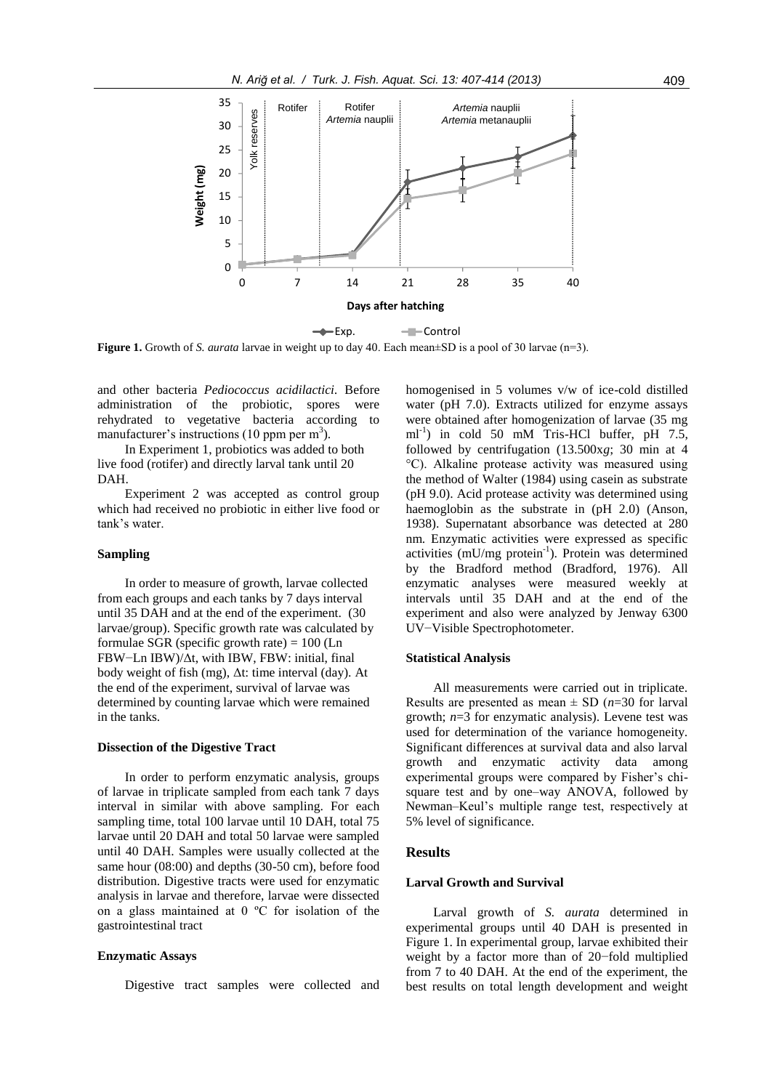

**Figure 1.** Growth of *S. aurata* larvae in weight up to day 40. Each mean±SD is a pool of 30 larvae (n=3).

and other bacteria *Pediococcus acidilactici.* Before administration of the probiotic, spores were rehydrated to vegetative bacteria according to manufacturer's instructions (10 ppm per  $m<sup>3</sup>$ ).

In Experiment 1, probiotics was added to both live food (rotifer) and directly larval tank until 20 DAH.

Experiment 2 was accepted as control group which had received no probiotic in either live food or tank's water.

#### **Sampling**

In order to measure of growth, larvae collected from each groups and each tanks by 7 days interval until 35 DAH and at the end of the experiment. (30 larvae/group). Specific growth rate was calculated by formulae SGR (specific growth rate)  $= 100$  (Ln FBW−Ln IBW)/Δt, with IBW, FBW: initial, final body weight of fish (mg), Δt: time interval (day). At the end of the experiment, survival of larvae was determined by counting larvae which were remained in the tanks.

#### **Dissection of the Digestive Tract**

In order to perform enzymatic analysis, groups of larvae in triplicate sampled from each tank 7 days interval in similar with above sampling. For each sampling time, total 100 larvae until 10 DAH, total 75 larvae until 20 DAH and total 50 larvae were sampled until 40 DAH. Samples were usually collected at the same hour (08:00) and depths (30-50 cm), before food distribution. Digestive tracts were used for enzymatic analysis in larvae and therefore, larvae were dissected on a glass maintained at 0 ºC for isolation of the gastrointestinal tract

#### **Enzymatic Assays**

Digestive tract samples were collected and

homogenised in 5 volumes v/w of ice-cold distilled water (pH 7.0). Extracts utilized for enzyme assays were obtained after homogenization of larvae (35 mg  $ml^{-1}$ ) in cold 50 mM Tris-HCl buffer, pH 7.5, followed by centrifugation (13.500x*g*; 30 min at 4 °C). Alkaline protease activity was measured using the method of Walter (1984) using casein as substrate (pH 9.0). Acid protease activity was determined using haemoglobin as the substrate in (pH 2.0) (Anson, 1938). Supernatant absorbance was detected at 280 nm. Enzymatic activities were expressed as specific activities (mU/mg protein<sup>-1</sup>). Protein was determined by the Bradford method (Bradford, 1976). All enzymatic analyses were measured weekly at intervals until 35 DAH and at the end of the experiment and also were analyzed by Jenway 6300 UV−Visible Spectrophotometer.

#### **Statistical Analysis**

All measurements were carried out in triplicate. Results are presented as mean  $\pm$  SD ( $n=30$  for larval growth; *n*=3 for enzymatic analysis). Levene test was used for determination of the variance homogeneity. Significant differences at survival data and also larval growth and enzymatic activity data among experimental groups were compared by Fisher's chisquare test and by one–way ANOVA, followed by Newman–Keul's multiple range test, respectively at 5% level of significance.

#### **Results**

#### **Larval Growth and Survival**

Larval growth of *S. aurata* determined in experimental groups until 40 DAH is presented in Figure 1. In experimental group, larvae exhibited their weight by a factor more than of 20−fold multiplied from 7 to 40 DAH. At the end of the experiment, the best results on total length development and weight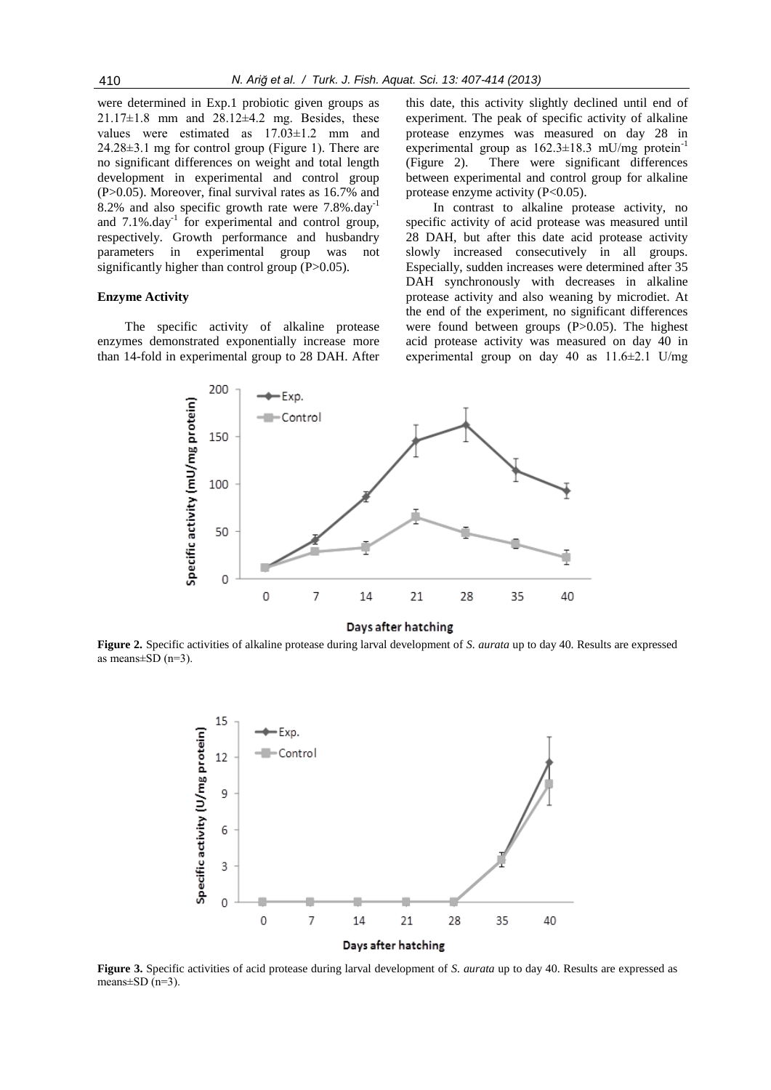were determined in Exp.1 probiotic given groups as  $21.17\pm1.8$  mm and  $28.12\pm4.2$  mg. Besides, these values were estimated as 17.03±1.2 mm and 24.28±3.1 mg for control group (Figure 1). There are no significant differences on weight and total length development in experimental and control group (P>0.05). Moreover, final survival rates as 16.7% and 8.2% and also specific growth rate were 7.8%.day-1 and  $7.1\%$ .day<sup>-1</sup> for experimental and control group, respectively. Growth performance and husbandry parameters in experimental group was not significantly higher than control group (P>0.05).

# **Enzyme Activity**

The specific activity of alkaline protease enzymes demonstrated exponentially increase more than 14-fold in experimental group to 28 DAH. After

this date, this activity slightly declined until end of experiment. The peak of specific activity of alkaline protease enzymes was measured on day 28 in experimental group as  $162.3 \pm 18.3$  mU/mg protein<sup>-1</sup> (Figure 2). There were significant differences between experimental and control group for alkaline protease enzyme activity  $(P<0.05)$ .

In contrast to alkaline protease activity, no specific activity of acid protease was measured until 28 DAH, but after this date acid protease activity slowly increased consecutively in all groups. Especially, sudden increases were determined after 35 DAH synchronously with decreases in alkaline protease activity and also weaning by microdiet. At the end of the experiment, no significant differences were found between groups (P>0.05). The highest acid protease activity was measured on day 40 in experimental group on day 40 as 11.6±2.1 U/mg



#### Days after hatching

**Figure 2.** Specific activities of alkaline protease during larval development of *S. aurata* up to day 40. Results are expressed as means $\pm$ SD (n=3).



**Figure 3.** Specific activities of acid protease during larval development of *S. aurata* up to day 40. Results are expressed as means $\pm$ SD (n=3).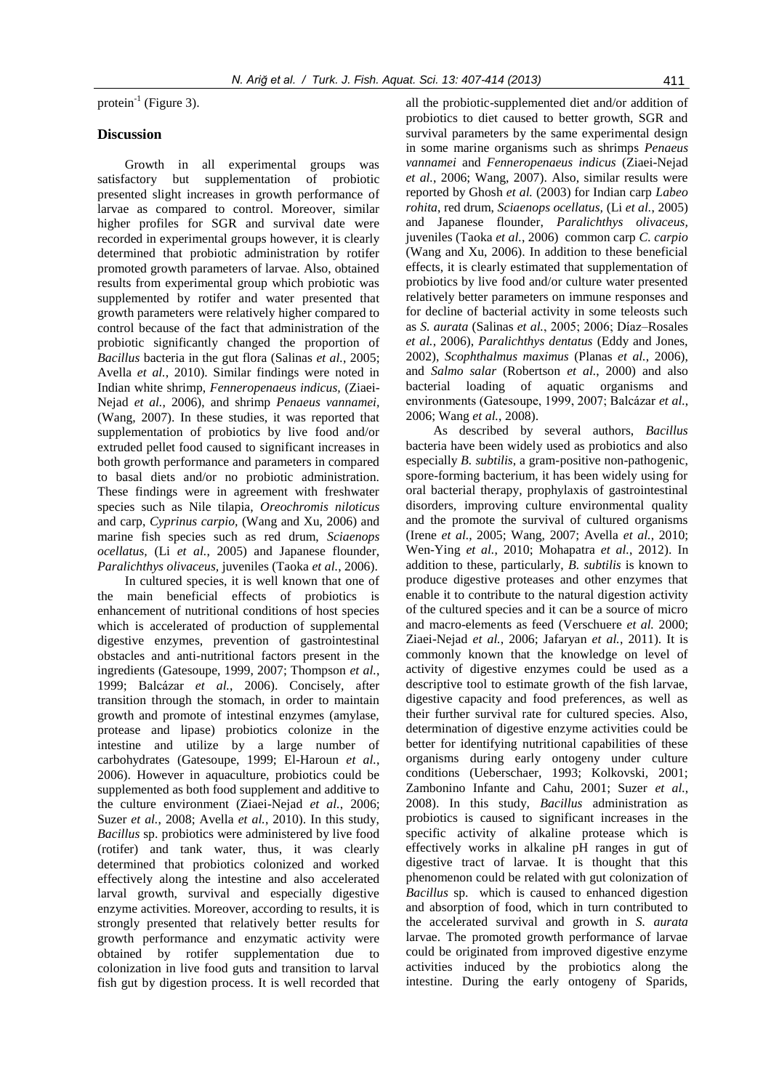protein<sup>-1</sup> (Figure 3).

# **Discussion**

Growth in all experimental groups was satisfactory but supplementation of probiotic presented slight increases in growth performance of larvae as compared to control. Moreover, similar higher profiles for SGR and survival date were recorded in experimental groups however, it is clearly determined that probiotic administration by rotifer promoted growth parameters of larvae. Also, obtained results from experimental group which probiotic was supplemented by rotifer and water presented that growth parameters were relatively higher compared to control because of the fact that administration of the probiotic significantly changed the proportion of *Bacillus* bacteria in the gut flora (Salinas *et al.*, 2005; Avella *et al.*, 2010). Similar findings were noted in Indian white shrimp, *Fenneropenaeus indicus,* (Ziaei-Nejad *et al.*, 2006), and shrimp *Penaeus vannamei,* (Wang, 2007). In these studies, it was reported that supplementation of probiotics by live food and/or extruded pellet food caused to significant increases in both growth performance and parameters in compared to basal diets and/or no probiotic administration. These findings were in agreement with freshwater species such as Nile tilapia, *Oreochromis niloticus* and carp, *Cyprinus carpio,* (Wang and Xu, 2006) and marine fish species such as red drum, *Sciaenops ocellatus,* (Li *et al.*, 2005) and Japanese flounder, *Paralichthys olivaceus,* juveniles (Taoka *et al.*, 2006).

In cultured species, it is well known that one of the main beneficial effects of probiotics is enhancement of nutritional conditions of host species which is accelerated of production of supplemental digestive enzymes, prevention of gastrointestinal obstacles and anti-nutritional factors present in the ingredients (Gatesoupe, 1999, 2007; Thompson *et al.*, 1999; Balcázar *et al.*, 2006). Concisely, after transition through the stomach, in order to maintain growth and promote of intestinal enzymes (amylase, protease and lipase) probiotics colonize in the intestine and utilize by a large number of carbohydrates (Gatesoupe, 1999; El-Haroun *et al.*, 2006). However in aquaculture, probiotics could be supplemented as both food supplement and additive to the culture environment (Ziaei-Nejad *et al.*, 2006; Suzer *et al.*, 2008; Avella *et al.*, 2010). In this study, *Bacillus* sp. probiotics were administered by live food (rotifer) and tank water, thus, it was clearly determined that probiotics colonized and worked effectively along the intestine and also accelerated larval growth, survival and especially digestive enzyme activities. Moreover, according to results, it is strongly presented that relatively better results for growth performance and enzymatic activity were obtained by rotifer supplementation due to colonization in live food guts and transition to larval fish gut by digestion process. It is well recorded that

all the probiotic-supplemented diet and/or addition of probiotics to diet caused to better growth, SGR and survival parameters by the same experimental design in some marine organisms such as shrimps *Penaeus vannamei* and *Fenneropenaeus indicus* (Ziaei-Nejad *et al.*, 2006; Wang, 2007). Also, similar results were reported by Ghosh *et al.* (2003) for Indian carp *Labeo rohita*, red drum, *Sciaenops ocellatus,* (Li *et al.*, 2005) and Japanese flounder, *Paralichthys olivaceus,* juveniles (Taoka *et al.*, 2006) common carp *C. carpio* (Wang and Xu, 2006). In addition to these beneficial effects, it is clearly estimated that supplementation of probiotics by live food and/or culture water presented relatively better parameters on immune responses and for decline of bacterial activity in some teleosts such as *S. aurata* (Salinas *et al.*, 2005; 2006; Díaz–Rosales *et al.*, 2006), *Paralichthys dentatus* (Eddy and Jones, 2002), *Scophthalmus maximus* (Planas *et al.*, 2006), and *Salmo salar* (Robertson *et al.*, 2000) and also bacterial loading of aquatic organisms and environments (Gatesoupe, 1999, 2007; Balcázar *et al.*, 2006; Wang *et al.*, 2008).

As described by several authors, *Bacillus* bacteria have been widely used as probiotics and also especially *B. subtilis*, a gram-positive non-pathogenic, spore-forming bacterium, it has been widely using for oral bacterial therapy, prophylaxis of gastrointestinal disorders, improving culture environmental quality and the promote the survival of cultured organisms (Irene *et al.*, 2005; Wang, 2007; Avella *et al.*, 2010; Wen-Ying *et al.*, 2010; Mohapatra *et al.*, 2012). In addition to these, particularly, *B. subtilis* is known to produce digestive proteases and other enzymes that enable it to contribute to the natural digestion activity of the cultured species and it can be a source of micro and macro-elements as feed (Verschuere *et al.* 2000; Ziaei-Nejad *et al.*, 2006; Jafaryan *et al.*, 2011). It is commonly known that the knowledge on level of activity of digestive enzymes could be used as a descriptive tool to estimate growth of the fish larvae, digestive capacity and food preferences, as well as their further survival rate for cultured species. Also, determination of digestive enzyme activities could be better for identifying nutritional capabilities of these organisms during early ontogeny under culture conditions (Ueberschaer, 1993; Kolkovski, 2001; Zambonino Infante and Cahu, 2001; Suzer *et al.*, 2008). In this study, *Bacillus* administration as probiotics is caused to significant increases in the specific activity of alkaline protease which is effectively works in alkaline pH ranges in gut of digestive tract of larvae. It is thought that this phenomenon could be related with gut colonization of *Bacillus* sp. which is caused to enhanced digestion and absorption of food, which in turn contributed to the accelerated survival and growth in *S. aurata* larvae. The promoted growth performance of larvae could be originated from improved digestive enzyme activities induced by the probiotics along the intestine. During the early ontogeny of Sparids,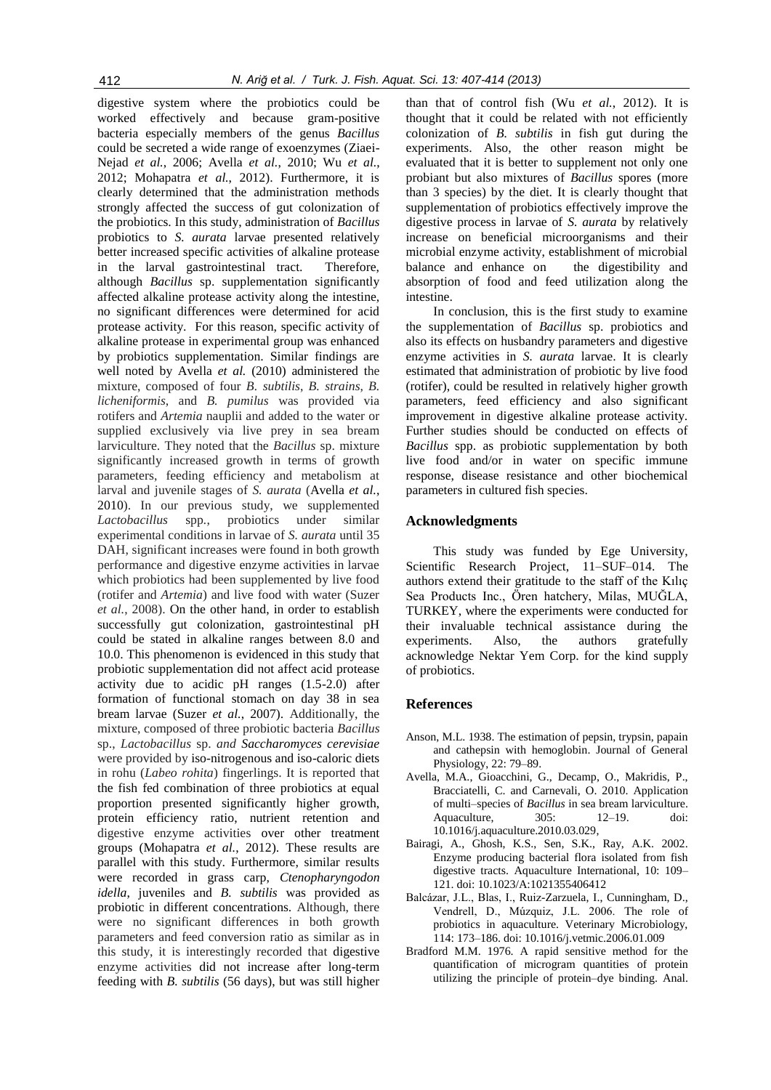digestive system where the probiotics could be worked effectively and because gram-positive bacteria especially members of the genus *Bacillus*  could be secreted a wide range of exoenzymes (Ziaei-Nejad *et al.*, 2006; Avella *et al.*, 2010; Wu *et al.*, 2012; Mohapatra *et al.*, 2012). Furthermore, it is clearly determined that the administration methods strongly affected the success of gut colonization of the probiotics. In this study, administration of *Bacillus* probiotics to *S. aurata* larvae presented relatively better increased specific activities of alkaline protease in the larval gastrointestinal tract. Therefore, although *Bacillus* sp. supplementation significantly affected alkaline protease activity along the intestine, no significant differences were determined for acid protease activity. For this reason, specific activity of alkaline protease in experimental group was enhanced by probiotics supplementation. Similar findings are well noted by Avella *et al.* (2010) administered the mixture, composed of four *B. subtilis*, *B. strains*, *B. licheniformis*, and *B. pumilus* was provided via rotifers and *Artemia* nauplii and added to the water or supplied exclusively via live prey in sea bream larviculture. They noted that the *Bacillus* sp. mixture significantly increased growth in terms of growth parameters, feeding efficiency and metabolism at larval and juvenile stages of *S. aurata* (Avella *et al.*, 2010). In our previous study, we supplemented *Lactobacillus* spp*.*, probiotics under similar experimental conditions in larvae of *S. aurata* until 35 DAH, significant increases were found in both growth performance and digestive enzyme activities in larvae which probiotics had been supplemented by live food (rotifer and *Artemia*) and live food with water (Suzer *et al.*, 2008). On the other hand, in order to establish successfully gut colonization, gastrointestinal pH could be stated in alkaline ranges between 8.0 and 10.0. This phenomenon is evidenced in this study that probiotic supplementation did not affect acid protease activity due to acidic pH ranges (1.5-2.0) after formation of functional stomach on day 38 in sea bream larvae (Suzer *et al.*, 2007). Additionally, the mixture, composed of three probiotic bacteria *Bacillus* sp., *Lactobacillus* sp. *and Saccharomyces cerevisiae* were provided by iso-nitrogenous and iso-caloric diets in rohu (*Labeo rohita*) fingerlings. It is reported that the fish fed combination of three probiotics at equal proportion presented significantly higher growth, protein efficiency ratio, nutrient retention and digestive enzyme activities over other treatment groups (Mohapatra *et al.*, 2012). These results are parallel with this study. Furthermore, similar results were recorded in grass carp, *Ctenopharyngodon idella*, juveniles and *B. subtilis* was provided as probiotic in different concentrations. Although, there were no significant differences in both growth parameters and feed conversion ratio as similar as in this study, it is interestingly recorded that digestive enzyme activities did not increase after long-term feeding with *B. subtilis* (56 days), but was still higher

than that of control fish (Wu *et al.*, 2012). It is thought that it could be related with not efficiently colonization of *B. subtilis* in fish gut during the experiments. Also, the other reason might be evaluated that it is better to supplement not only one probiant but also mixtures of *Bacillus* spores (more than 3 species) by the diet. It is clearly thought that supplementation of probiotics effectively improve the digestive process in larvae of *S. aurata* by relatively increase on beneficial microorganisms and their microbial enzyme activity, establishment of microbial balance and enhance on the digestibility and absorption of food and feed utilization along the intestine.

In conclusion, this is the first study to examine the supplementation of *Bacillus* sp. probiotics and also its effects on husbandry parameters and digestive enzyme activities in *S. aurata* larvae. It is clearly estimated that administration of probiotic by live food (rotifer), could be resulted in relatively higher growth parameters, feed efficiency and also significant improvement in digestive alkaline protease activity. Further studies should be conducted on effects of *Bacillus* spp. as probiotic supplementation by both live food and/or in water on specific immune response, disease resistance and other biochemical parameters in cultured fish species.

## **Acknowledgments**

This study was funded by Ege University, Scientific Research Project, 11–SUF–014. The authors extend their gratitude to the staff of the Kılıç Sea Products Inc., Ören hatchery, Milas, MUĞLA, TURKEY, where the experiments were conducted for their invaluable technical assistance during the experiments. Also, the authors gratefully acknowledge Nektar Yem Corp. for the kind supply of probiotics.

# **References**

- Anson, M.L. 1938. The estimation of pepsin, trypsin, papain and cathepsin with hemoglobin. Journal of General Physiology, 22: 79–89.
- Avella, M.A., Gioacchini, G., Decamp, O., Makridis, P., Bracciatelli, C. and Carnevali, O. 2010. Application of multi–species of *Bacillus* in sea bream larviculture. Aquaculture, 305: 12–19. doi: 10.1016/j.aquaculture.2010.03.029,
- Bairagi, A., Ghosh, K.S., Sen, S.K., Ray, A.K. 2002. Enzyme producing bacterial flora isolated from fish digestive tracts. Aquaculture International, 10: 109– 121. doi: 10.1023/A:1021355406412
- Balcázar, J.L., Blas, I., Ruiz-Zarzuela, I., Cunningham, D., Vendrell, D., Múzquiz, J.L. 2006. The role of probiotics in aquaculture. Veterinary Microbiology, 114: 173–186. doi: 10.1016/j.vetmic.2006.01.009
- Bradford M.M. 1976. A rapid sensitive method for the quantification of microgram quantities of protein utilizing the principle of protein–dye binding. Anal.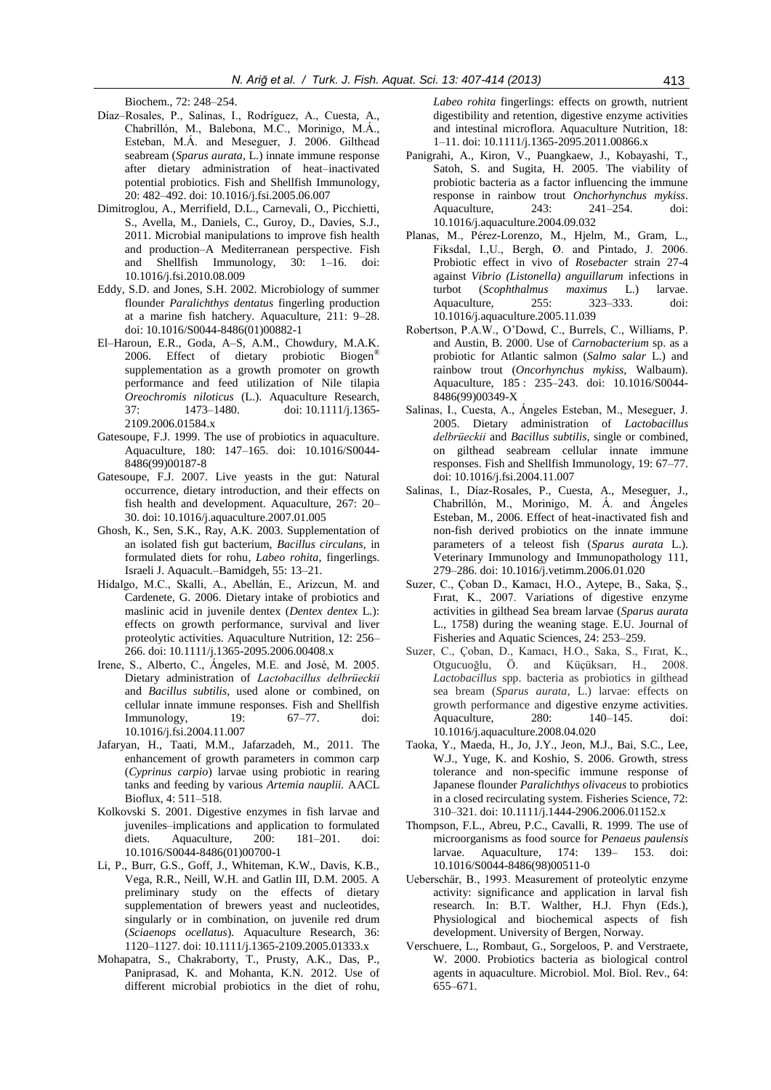Biochem., 72: 248–254.

- Díaz–Rosales, P., Salinas, I., Rodríguez, A., Cuesta, A., Chabrillón, M., Balebona, M.C., Morinigo, M.Á., Esteban, M.Á. and Meseguer, J. 2006. Gilthead seabream (*Sparus aurata,* L.) innate immune response after dietary administration of heat–inactivated potential probiotics. Fish and Shellfish Immunology, 20: 482–492. doi: 10.1016/j.fsi.2005.06.007
- Dimitroglou, A., Merrifield, D.L., Carnevali, O., Picchietti, S., Avella, M., Daniels, C., Guroy, D., Davies, S.J., 2011. Microbial manipulations to improve fish health and production–A Mediterranean perspective. Fish and Shellfish Immunology, 30: 1–16. doi: 10.1016/j.fsi.2010.08.009
- Eddy, S.D. and Jones, S.H. 2002. Microbiology of summer flounder *Paralichthys dentatus* fingerling production at a marine fish hatchery. Aquaculture, 211: 9–28. doi: 10.1016/S0044-8486(01)00882-1
- El–Haroun, E.R., Goda, A–S, A.M., Chowdury, M.A.K. 2006. Effect of dietary probiotic Biogen® supplementation as a growth promoter on growth performance and feed utilization of Nile tilapia *Oreochromis niloticus* (L.). Aquaculture Research, 37: 1473–1480. doi: 10.1111/j.1365- 2109.2006.01584.x
- Gatesoupe, F.J. 1999. The use of probiotics in aquaculture. Aquaculture, 180: 147–165. doi: 10.1016/S0044- 8486(99)00187-8
- Gatesoupe, F.J. 2007. Live yeasts in the gut: Natural occurrence, dietary introduction, and their effects on fish health and development. Aquaculture, 267: 20– 30. doi: 10.1016/j.aquaculture.2007.01.005
- Ghosh, K., Sen, S.K., Ray, A.K. 2003. Supplementation of an isolated fish gut bacterium, *Bacillus circulans*, in formulated diets for rohu, *Labeo rohita*, fingerlings. Israeli J. Aquacult.–Bamidgeh, 55: 13–21.
- Hidalgo, M.C., Skalli, A., Abellán, E., Arizcun, M. and Cardenete, G. 2006. Dietary intake of probiotics and maslinic acid in juvenile dentex (*Dentex dentex* L.): effects on growth performance, survival and liver proteolytic activities. Aquaculture Nutrition, 12: 256– 266. doi: 10.1111/j.1365-2095.2006.00408.x
- Irene, S., Alberto, C., Ángeles, M.E. and José, M. 2005. Dietary administration of *Lactobacillus delbrüeckii* and *Bacillus subtilis*, used alone or combined, on cellular innate immune responses. Fish and Shellfish Immunology, 19: 67–77. doi: 10.1016/j.fsi.2004.11.007
- Jafaryan, H., Taati, M.M., Jafarzadeh, M., 2011. The enhancement of growth parameters in common carp (*Cyprinus carpio*) larvae using probiotic in rearing tanks and feeding by various *Artemia nauplii.* AACL Bioflux, 4: 511–518.
- Kolkovski S. 2001. Digestive enzymes in fish larvae and juveniles–implications and application to formulated diets. Aquaculture, 200: 181–201. doi: 10.1016/S0044-8486(01)00700-1
- Li, P., Burr, G.S., Goff, J., Whiteman, K.W., Davis, K.B., Vega, R.R., Neill, W.H. and Gatlin III, D.M. 2005. A preliminary study on the effects of dietary supplementation of brewers yeast and nucleotides, singularly or in combination, on juvenile red drum (*Sciaenops ocellatus*). Aquaculture Research, 36: 1120–1127. doi: 10.1111/j.1365-2109.2005.01333.x
- Mohapatra, S., Chakraborty, T., Prusty, A.K., Das, P., Paniprasad, K. and Mohanta, K.N. 2012. Use of different microbial probiotics in the diet of rohu,

*Labeo rohita* fingerlings: effects on growth, nutrient digestibility and retention, digestive enzyme activities and intestinal microflora. Aquaculture Nutrition, 18: 1–11. doi: 10.1111/j.1365-2095.2011.00866.x

- Panigrahi, A., Kiron, V., Puangkaew, J., Kobayashi, T., Satoh, S. and Sugita, H. 2005. The viability of probiotic bacteria as a factor influencing the immune response in rainbow trout *Onchorhynchus mykiss*. Aquaculture, 243: 241–254. doi: 10.1016/j.aquaculture.2004.09.032
- Planas, M., Pérez-Lorenzo, M., Hjelm, M., Gram, L., Fiksdal, I.,U., Bergh, Ø. and Pintado, J. 2006. Probiotic effect in vivo of *Rosebacter* strain 27-4 against *Vibrio (Listonella) anguillarum* infections in turbot (*Scophthalmus maximus* L.) larvae. Aquaculture, 255: 323–333. doi: 10.1016/j.aquaculture.2005.11.039
- Robertson, P.A.W., O'Dowd, C., Burrels, C., Williams, P. and Austin, B. 2000. Use of *Carnobacterium* sp. as a probiotic for Atlantic salmon (*Salmo salar* L.) and rainbow trout (*Oncorhynchus mykiss,* Walbaum). Aquaculture, 185 : 235–243. doi: 10.1016/S0044- 8486(99)00349-X
- Salinas, I., Cuesta, A., Ángeles Esteban, M., Meseguer, J. 2005. Dietary administration of *Lactobacillus delbrüeckii* and *Bacillus subtilis*, single or combined, on gilthead seabream cellular innate immune responses. Fish and Shellfish Immunology, 19: 67–77. doi: 10.1016/j.fsi.2004.11.007
- Salinas, I., Díaz-Rosales, P., Cuesta, A., Meseguer, J., Chabrillón, M., Morinigo, M. Á. and Ángeles Esteban, M., 2006. Effect of heat-inactivated fish and non-fish derived probiotics on the innate immune parameters of a teleost fish (*Sparus aurata* L.). Veterinary Immunology and Immunopathology 111, 279–286. doi: 10.1016/j.vetimm.2006.01.020
- Suzer, C., Çoban D., Kamacı, H.O., Aytepe, B., Saka, Ş., Fırat, K., 2007. Variations of digestive enzyme activities in gilthead Sea bream larvae (*Sparus aurata* L., 1758) during the weaning stage. E.U. Journal of Fisheries and Aquatic Sciences, 24: 253–259.
- Suzer, C., Çoban, D., Kamacı, H.O., Saka, S., Fırat, K., Otgucuoğlu, Ö. and Küçüksarı, H., 2008. *Lactobacillus* spp. bacteria as probiotics in gilthead sea bream (*Sparus aurata*, L.) larvae: effects on growth performance and digestive enzyme activities. Aquaculture, 280: 140–145. doi: 10.1016/j.aquaculture.2008.04.020
- Taoka, Y., Maeda, H., Jo, J.Y., Jeon, M.J., Bai, S.C., Lee, W.J., Yuge, K. and Koshio, S. 2006. Growth, stress tolerance and non-specific immune response of Japanese flounder *Paralichthys olivaceus* to probiotics in a closed recirculating system. Fisheries Science, 72: 310–321. doi: 10.1111/j.1444-2906.2006.01152.x
- Thompson, F.L., Abreu, P.C., Cavalli, R. 1999. The use of microorganisms as food source for *Penaeus paulensis* larvae. Aquaculture, 174: 139– 153. doi: 10.1016/S0044-8486(98)00511-0
- Ueberschär, B., 1993. Measurement of proteolytic enzyme activity: significance and application in larval fish research. In: B.T. Walther, H.J. Fhyn (Eds.), Physiological and biochemical aspects of fish development. University of Bergen, Norway.
- Verschuere, L., Rombaut, G., Sorgeloos, P. and Verstraete, W. 2000. Probiotics bacteria as biological control agents in aquaculture. Microbiol. Mol. Biol. Rev., 64: 655–671.